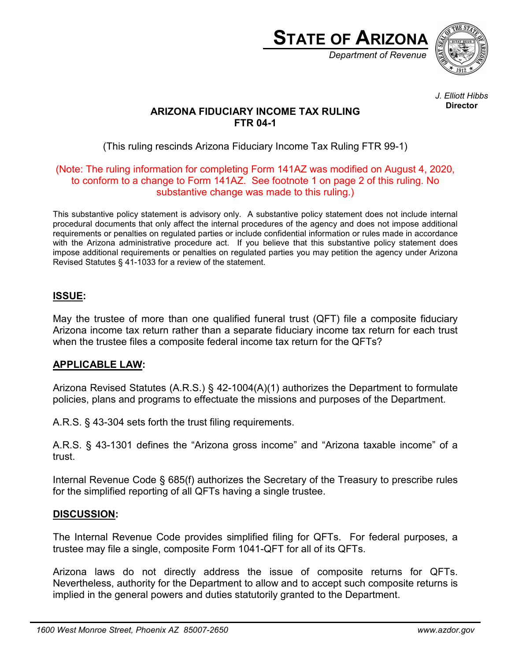

*J. Elliott Hibbs* **Director**

# **ARIZONA FIDUCIARY INCOME TAX RULING FTR 04-1**

(This ruling rescinds Arizona Fiduciary Income Tax Ruling FTR 99-1)

#### (Note: The ruling information for completing Form 141AZ was modified on August 4, 2020, to conform to a change to Form 141AZ. See footnote 1 on page 2 of this ruling. No substantive change was made to this ruling.)

This substantive policy statement is advisory only. A substantive policy statement does not include internal procedural documents that only affect the internal procedures of the agency and does not impose additional requirements or penalties on regulated parties or include confidential information or rules made in accordance with the Arizona administrative procedure act. If you believe that this substantive policy statement does impose additional requirements or penalties on regulated parties you may petition the agency under Arizona Revised Statutes § 41-1033 for a review of the statement.

## **ISSUE:**

May the trustee of more than one qualified funeral trust (QFT) file a composite fiduciary Arizona income tax return rather than a separate fiduciary income tax return for each trust when the trustee files a composite federal income tax return for the QFTs?

## **APPLICABLE LAW:**

Arizona Revised Statutes (A.R.S.) § 42-1004(A)(1) authorizes the Department to formulate policies, plans and programs to effectuate the missions and purposes of the Department.

A.R.S. § 43-304 sets forth the trust filing requirements.

A.R.S. § 43-1301 defines the "Arizona gross income" and "Arizona taxable income" of a trust.

Internal Revenue Code § 685(f) authorizes the Secretary of the Treasury to prescribe rules for the simplified reporting of all QFTs having a single trustee.

## **DISCUSSION:**

The Internal Revenue Code provides simplified filing for QFTs. For federal purposes, a trustee may file a single, composite Form 1041-QFT for all of its QFTs.

Arizona laws do not directly address the issue of composite returns for QFTs. Nevertheless, authority for the Department to allow and to accept such composite returns is implied in the general powers and duties statutorily granted to the Department.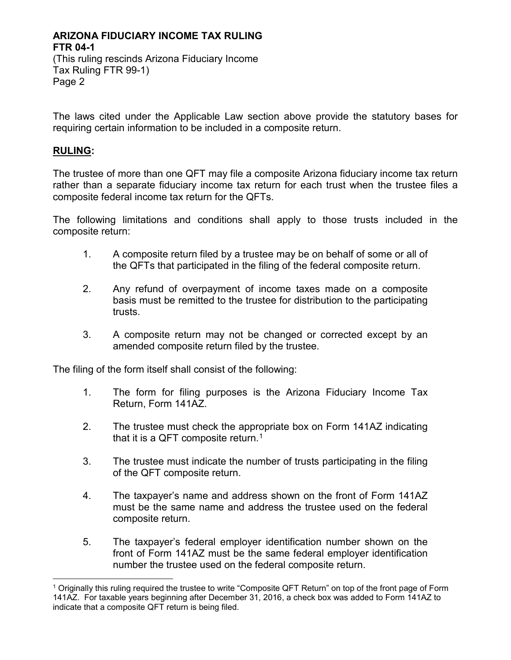#### **ARIZONA FIDUCIARY INCOME TAX RULING FTR 04-1** (This ruling rescinds Arizona Fiduciary Income Tax Ruling FTR 99-1)

The laws cited under the Applicable Law section above provide the statutory bases for requiring certain information to be included in a composite return.

#### **RULING:**

Page 2

The trustee of more than one QFT may file a composite Arizona fiduciary income tax return rather than a separate fiduciary income tax return for each trust when the trustee files a composite federal income tax return for the QFTs.

The following limitations and conditions shall apply to those trusts included in the composite return:

- 1. A composite return filed by a trustee may be on behalf of some or all of the QFTs that participated in the filing of the federal composite return.
- 2. Any refund of overpayment of income taxes made on a composite basis must be remitted to the trustee for distribution to the participating trusts.
- 3. A composite return may not be changed or corrected except by an amended composite return filed by the trustee.

The filing of the form itself shall consist of the following:

- 1. The form for filing purposes is the Arizona Fiduciary Income Tax Return, Form 141AZ.
- 2. The trustee must check the appropriate box on Form 141AZ indicating that it is a QFT composite return.<sup>[1](#page-1-0)</sup>
- 3. The trustee must indicate the number of trusts participating in the filing of the QFT composite return.
- 4. The taxpayer's name and address shown on the front of Form 141AZ must be the same name and address the trustee used on the federal composite return.
- 5. The taxpayer's federal employer identification number shown on the front of Form 141AZ must be the same federal employer identification number the trustee used on the federal composite return.

<span id="page-1-0"></span> <sup>1</sup> Originally this ruling required the trustee to write "Composite QFT Return" on top of the front page of Form 141AZ. For taxable years beginning after December 31, 2016, a check box was added to Form 141AZ to indicate that a composite QFT return is being filed.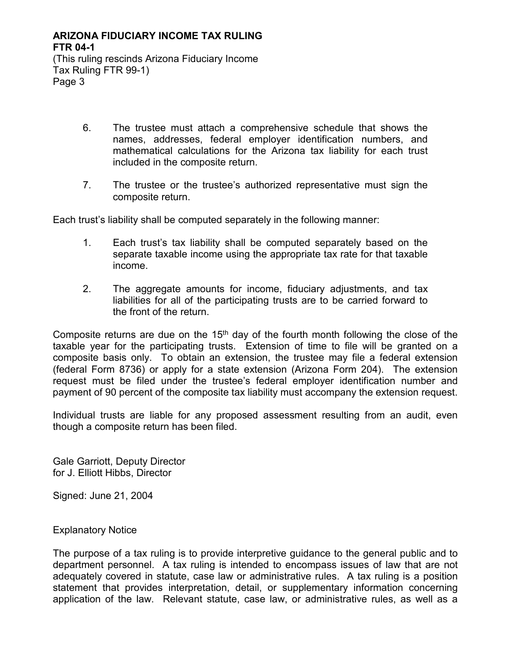(This ruling rescinds Arizona Fiduciary Income Tax Ruling FTR 99-1) Page 3

- 6. The trustee must attach a comprehensive schedule that shows the names, addresses, federal employer identification numbers, and mathematical calculations for the Arizona tax liability for each trust included in the composite return.
- 7. The trustee or the trustee's authorized representative must sign the composite return.

Each trust's liability shall be computed separately in the following manner:

- 1. Each trust's tax liability shall be computed separately based on the separate taxable income using the appropriate tax rate for that taxable income.
- 2. The aggregate amounts for income, fiduciary adjustments, and tax liabilities for all of the participating trusts are to be carried forward to the front of the return.

Composite returns are due on the  $15<sup>th</sup>$  day of the fourth month following the close of the taxable year for the participating trusts. Extension of time to file will be granted on a composite basis only. To obtain an extension, the trustee may file a federal extension (federal Form 8736) or apply for a state extension (Arizona Form 204). The extension request must be filed under the trustee's federal employer identification number and payment of 90 percent of the composite tax liability must accompany the extension request.

Individual trusts are liable for any proposed assessment resulting from an audit, even though a composite return has been filed.

Gale Garriott, Deputy Director for J. Elliott Hibbs, Director

Signed: June 21, 2004

Explanatory Notice

The purpose of a tax ruling is to provide interpretive guidance to the general public and to department personnel. A tax ruling is intended to encompass issues of law that are not adequately covered in statute, case law or administrative rules. A tax ruling is a position statement that provides interpretation, detail, or supplementary information concerning application of the law. Relevant statute, case law, or administrative rules, as well as a